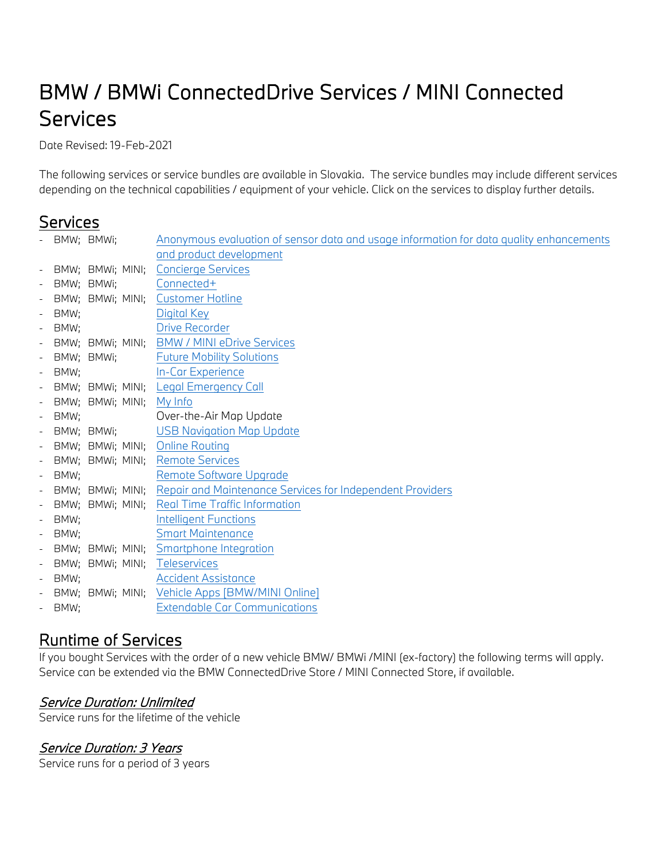# BMW / BMWi ConnectedDrive Services / MINI Connected Services

Date Revised: 19-Feb-2021

The following services or service bundles are available in Slovakia. The service bundles may include different services depending on the technical capabilities / equipment of your vehicle. Click on the services to display further details.

# **Services**

|        | - BMW; BMWi;               | Anonymous evaluation of sensor data and usage information for data quality enhancements |
|--------|----------------------------|-----------------------------------------------------------------------------------------|
|        |                            | and product development                                                                 |
|        |                            | - BMW; BMWi; MINI; Concierge Services                                                   |
|        | - BMW; BMWi;               | Connected+                                                                              |
|        |                            | - BMW; BMWi; MINI; Customer Hotline                                                     |
| - BMW; |                            | Digital Key                                                                             |
| - BMW: |                            | <b>Drive Recorder</b>                                                                   |
|        |                            | - BMW; BMWi; MINI; BMW / MINI eDrive Services                                           |
|        | - BMW; BMWi;               | <b>Future Mobility Solutions</b>                                                        |
| - BMW; |                            | <b>In-Car Experience</b>                                                                |
|        |                            | - BMW; BMWi; MINI; Legal Emergency Call                                                 |
|        | - BMW; BMWi; MINI; My Info |                                                                                         |
| - BMW; |                            | Over-the-Air Map Update                                                                 |
|        |                            | - BMW; BMWi; USB Navigation Map Update                                                  |
|        |                            | - BMW; BMWi; MINI; Online Routing                                                       |
|        |                            | - BMW; BMWi; MINI; Remote Services                                                      |
| - BMW; |                            | Remote Software Upgrade                                                                 |
|        |                            | - BMW; BMWi; MINI; Repair and Maintenance Services for Independent Providers            |
|        |                            | - BMW; BMWi; MINI; Real Time Traffic Information                                        |
| - BMW; |                            | <b>Intelligent Functions</b>                                                            |
| - BMW: |                            | <b>Smart Maintenance</b>                                                                |
|        |                            | - BMW; BMWi; MINI; Smartphone Integration                                               |
|        |                            | - BMW; BMWi; MINI; Teleservices                                                         |
| - BMW; |                            | <b>Accident Assistance</b>                                                              |
|        |                            | - BMW; BMWi; MINI; Vehicle Apps [BMW/MINI Online]                                       |
| - BMW; |                            | <b>Extendable Car Communications</b>                                                    |

# Runtime of Services

If you bought Services with the order of a new vehicle BMW/ BMWi /MINI (ex-factory) the following terms will apply. Service can be extended via the BMW ConnectedDrive Store / MINI Connected Store, if available.

### Service Duration: Unlimited

Service runs for the lifetime of the vehicle

### Service Duration: 3 Years

Service runs for a period of 3 years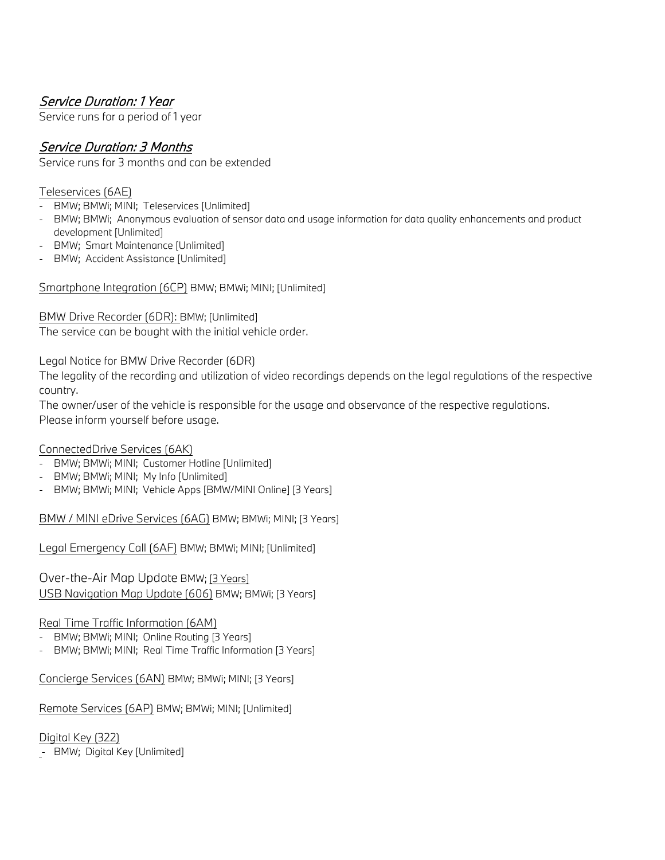### Service Duration: 1 Year

Service runs for a period of 1 year

### Service Duration: 3 Months

Service runs for 3 months and can be extended

#### Teleservices (6AE)

- BMW; BMWi; MINI; Teleservices [Unlimited]
- BMW; BMWi; Anonymous evaluation of sensor data and usage information for data quality enhancements and product development [Unlimited]
- BMW; Smart Maintenance [Unlimited]
- BMW; Accident Assistance [Unlimited]

Smartphone Integration (6CP) BMW; BMWi; MINI; [Unlimited]

BMW Drive Recorder (6DR): BMW; [Unlimited]

The service can be bought with the initial vehicle order.

Legal Notice for BMW Drive Recorder (6DR)

The legality of the recording and utilization of video recordings depends on the legal regulations of the respective country.

The owner/user of the vehicle is responsible for the usage and observance of the respective regulations. Please inform yourself before usage.

#### ConnectedDrive Services (6AK)

- BMW; BMWi; MINI; Customer Hotline [Unlimited]
- BMW; BMWi; MINI; My Info [Unlimited]
- BMW; BMWi; MINI; Vehicle Apps [BMW/MINI Online] [3 Years]

BMW / MINI eDrive Services (6AG) BMW; BMWi; MINI; [3 Years]

Legal Emergency Call (6AF) BMW; BMWi; MINI; [Unlimited]

[Over-the-Air Map Update](https://btclegaldocumentcheckeu.bmwgroup.com/api/legaldocumentcheck/viewlatestdocument/cd_MapUpdate/BMW/ios/row?locale=EN-DE) BMW; [3 Years] USB Navigation Map Update (606) BMW; BMWi; [3 Years]

#### Real Time Traffic Information (6AM)

- BMW; BMWi; MINI; Online Routing [3 Years]
- BMW; BMWi; MINI; Real Time Traffic Information [3 Years]

Concierge Services (6AN) BMW; BMWi; MINI; [3 Years]

Remote Services (6AP) BMW; BMWi; MINI; [Unlimited]

Digital Key (322)

- BMW; Digital Key [Unlimited]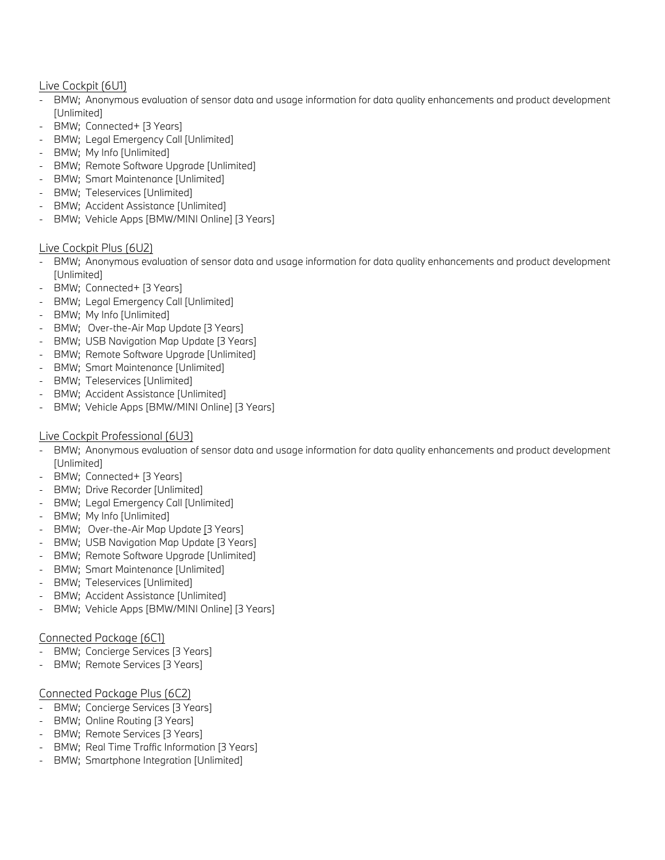#### Live Cockpit (6U1)

- BMW; Anonymous evaluation of sensor data and usage information for data quality enhancements and product development [Unlimited]
- BMW; Connected+ [3 Years]
- BMW; Legal Emergency Call [Unlimited]
- BMW; My Info [Unlimited]
- BMW; Remote Software Upgrade [Unlimited]
- BMW; Smart Maintenance [Unlimited]
- BMW; Teleservices [Unlimited]
- BMW; Accident Assistance [Unlimited]
- BMW; Vehicle Apps [BMW/MINI Online] [3 Years]

#### Live Cockpit Plus (6U2)

- BMW; Anonymous evaluation of sensor data and usage information for data quality enhancements and product development [Unlimited]
- BMW; Connected+ [3 Years]
- BMW; Legal Emergency Call [Unlimited]
- BMW; My Info [Unlimited]
- BMW; [Over-the-Air Map](https://btclegaldocumentcheckeu.bmwgroup.com/api/legaldocumentcheck/viewlatestdocument/cd_MapUpdate/BMW/ios/row?locale=EN-DE) Update [3 Years]
- BMW; USB Navigation Map Update [3 Years]
- BMW; Remote Software Upgrade [Unlimited]
- BMW; Smart Maintenance [Unlimited]
- BMW; Teleservices [Unlimited]
- BMW; Accident Assistance [Unlimited]
- BMW; Vehicle Apps [BMW/MINI Online] [3 Years]

#### Live Cockpit Professional (6U3)

- BMW; Anonymous evaluation of sensor data and usage information for data quality enhancements and product development [Unlimited]
- BMW; Connected+ [3 Years]
- BMW; Drive Recorder [Unlimited]
- BMW; Legal Emergency Call [Unlimited]
- BMW; My Info [Unlimited]
- BMW; [Over-the-Air Map Update](https://btclegaldocumentcheckeu.bmwgroup.com/api/legaldocumentcheck/viewlatestdocument/cd_MapUpdate/BMW/ios/row?locale=EN-DE) [3 Years]
- BMW; USB Navigation Map Update [3 Years]
- BMW; Remote Software Upgrade [Unlimited]
- BMW; Smart Maintenance [Unlimited]
- BMW; Teleservices [Unlimited]
- BMW; Accident Assistance [Unlimited]
- BMW; Vehicle Apps [BMW/MINI Online] [3 Years]

#### Connected Package (6C1)

- BMW; Concierge Services [3 Years]
- BMW; Remote Services [3 Years]

#### Connected Package Plus (6C2)

- BMW; Concierge Services [3 Years]
- BMW; Online Routing [3 Years]
- BMW; Remote Services [3 Years]
- BMW; Real Time Traffic Information [3 Years]
- BMW; Smartphone Integration [Unlimited]